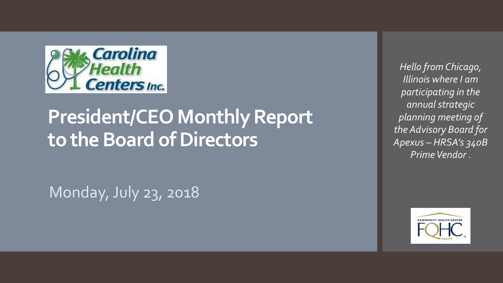

# **President/CEO Monthly Report to the Board of Directors**

Monday, July 23, 2018

*Hello from Chicago, Illinois where I am participating in the annual strategic planning meeting of the Advisory Board for Apexus – HRSA's 340B Prime Vendor* .

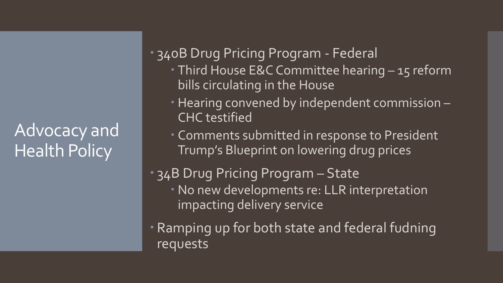## Advocacy and Health Policy

 340B Drug Pricing Program - Federal **Third House E&C Committee hearing - 15 reform** 

- bills circulating in the House
- Hearing convened by independent commission -CHC testified
- Comments submitted in response to President Trump's Blueprint on lowering drug prices

#### 34B Drug Pricing Program – State No new developments re: LLR interpretation impacting delivery service

 Ramping up for both state and federal fudning requests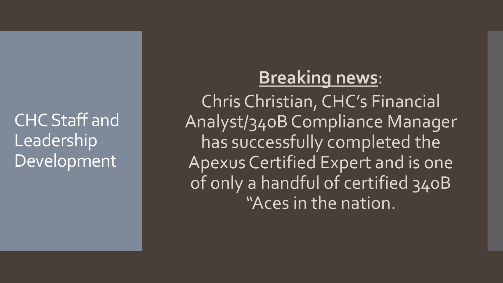CHC Staff and Leadership Development

### **Breaking news**:

Chris Christian, CHC's Financial Analyst/340B Compliance Manager has successfully completed the Apexus Certified Expert and is one of only a handful of certified 340B "Aces in the nation.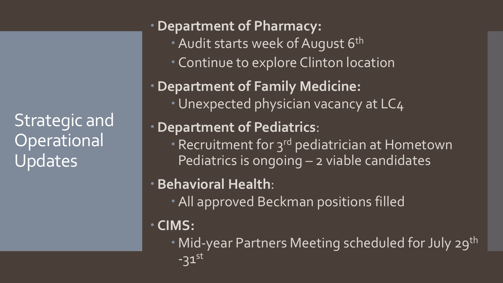Strategic and **Operational** Updates

**Department of Pharmacy:** • Audit starts week of August 6<sup>th</sup> Continue to explore Clinton location **Department of Family Medicine:** • Unexpected physician vacancy at LC4 **Department of Pediatrics**: • Recruitment for 3<sup>rd</sup> pediatrician at Hometown Pediatrics is ongoing - 2 viable candidates **Behavioral Health**: All approved Beckman positions filled **CIMS:**

• Mid-year Partners Meeting scheduled for July 29<sup>th</sup>  $-31$ <sup>st</sup>